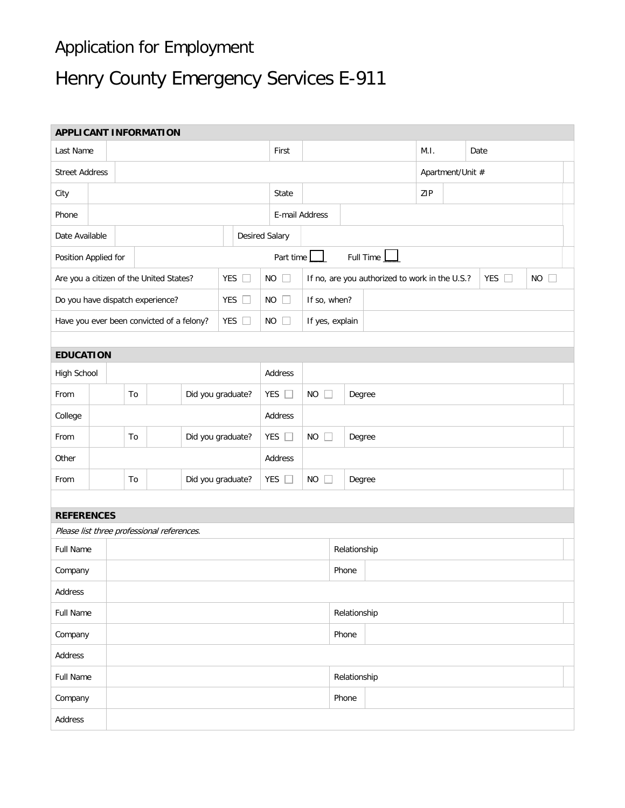## Application for Employment

## Henry County Emergency Services E-911

| <b>APPLICANT INFORMATION</b>                   |                         |                         |               |                                            |                       |                                                                             |                 |                               |             |              |     |                  |  |      |  |
|------------------------------------------------|-------------------------|-------------------------|---------------|--------------------------------------------|-----------------------|-----------------------------------------------------------------------------|-----------------|-------------------------------|-------------|--------------|-----|------------------|--|------|--|
| Last Name                                      |                         |                         |               |                                            |                       |                                                                             | First           |                               |             |              |     | M.I.             |  | Date |  |
| <b>Street Address</b>                          |                         |                         |               |                                            |                       |                                                                             |                 |                               |             |              |     | Apartment/Unit # |  |      |  |
| City                                           |                         |                         |               |                                            |                       | State                                                                       |                 |                               |             |              | ZIP |                  |  |      |  |
| Phone                                          |                         |                         |               |                                            |                       |                                                                             | E-mail Address  |                               |             |              |     |                  |  |      |  |
| Date Available                                 |                         |                         |               |                                            | <b>Desired Salary</b> |                                                                             |                 |                               |             |              |     |                  |  |      |  |
| Position Applied for                           |                         |                         |               |                                            | Part time             |                                                                             |                 |                               | Full Time 1 |              |     |                  |  |      |  |
| Are you a citizen of the United States?        |                         |                         | YES $\square$ | $NO$ $\Box$                                |                       | YES $\Box$<br>$NO$ $\Box$<br>If no, are you authorized to work in the U.S.? |                 |                               |             |              |     |                  |  |      |  |
| <b>YES</b><br>Do you have dispatch experience? |                         |                         |               | H                                          | $NO$ $\Box$           |                                                                             | If so, when?    |                               |             |              |     |                  |  |      |  |
| Have you ever been convicted of a felony?      |                         |                         |               | YES $\square$                              | $NO$ $\Box$           |                                                                             | If yes, explain |                               |             |              |     |                  |  |      |  |
|                                                |                         |                         |               |                                            |                       |                                                                             |                 |                               |             |              |     |                  |  |      |  |
| <b>EDUCATION</b>                               |                         |                         |               |                                            |                       |                                                                             |                 |                               |             |              |     |                  |  |      |  |
| High School                                    |                         |                         |               |                                            |                       |                                                                             | Address         |                               |             |              |     |                  |  |      |  |
| From                                           |                         | Did you graduate?<br>To |               |                                            | YES $\square$         |                                                                             | $NO$ $\Box$     | Degree                        |             |              |     |                  |  |      |  |
| College                                        |                         |                         |               |                                            | Address               |                                                                             |                 |                               |             |              |     |                  |  |      |  |
| From                                           | To<br>Did you graduate? |                         |               | YES $\square$                              |                       | <b>NO</b><br>$\Box$                                                         | Degree          |                               |             |              |     |                  |  |      |  |
| Other                                          |                         |                         |               |                                            |                       | Address                                                                     |                 |                               |             |              |     |                  |  |      |  |
| From                                           |                         | To<br>Did you graduate? |               |                                            |                       | YES $\square$                                                               |                 | <b>NO</b><br>$\Box$<br>Degree |             |              |     |                  |  |      |  |
|                                                |                         |                         |               |                                            |                       |                                                                             |                 |                               |             |              |     |                  |  |      |  |
| <b>REFERENCES</b>                              |                         |                         |               |                                            |                       |                                                                             |                 |                               |             |              |     |                  |  |      |  |
|                                                |                         |                         |               | Please list three professional references. |                       |                                                                             |                 |                               |             |              |     |                  |  |      |  |
| Full Name                                      |                         |                         |               |                                            |                       |                                                                             | Relationship    |                               |             |              |     |                  |  |      |  |
| Company                                        |                         | Phone                   |               |                                            |                       |                                                                             |                 |                               |             |              |     |                  |  |      |  |
| Address                                        |                         |                         |               |                                            |                       |                                                                             |                 |                               |             |              |     |                  |  |      |  |
| Full Name                                      |                         |                         |               |                                            |                       |                                                                             |                 |                               |             | Relationship |     |                  |  |      |  |
| Company                                        |                         |                         |               |                                            |                       |                                                                             |                 |                               |             | Phone        |     |                  |  |      |  |
| Address                                        |                         |                         |               |                                            |                       |                                                                             |                 |                               |             |              |     |                  |  |      |  |
| Full Name                                      |                         |                         |               |                                            |                       |                                                                             |                 |                               |             | Relationship |     |                  |  |      |  |
| Company                                        |                         |                         |               |                                            |                       |                                                                             |                 |                               |             | Phone        |     |                  |  |      |  |
| Address                                        |                         |                         |               |                                            |                       |                                                                             |                 |                               |             |              |     |                  |  |      |  |